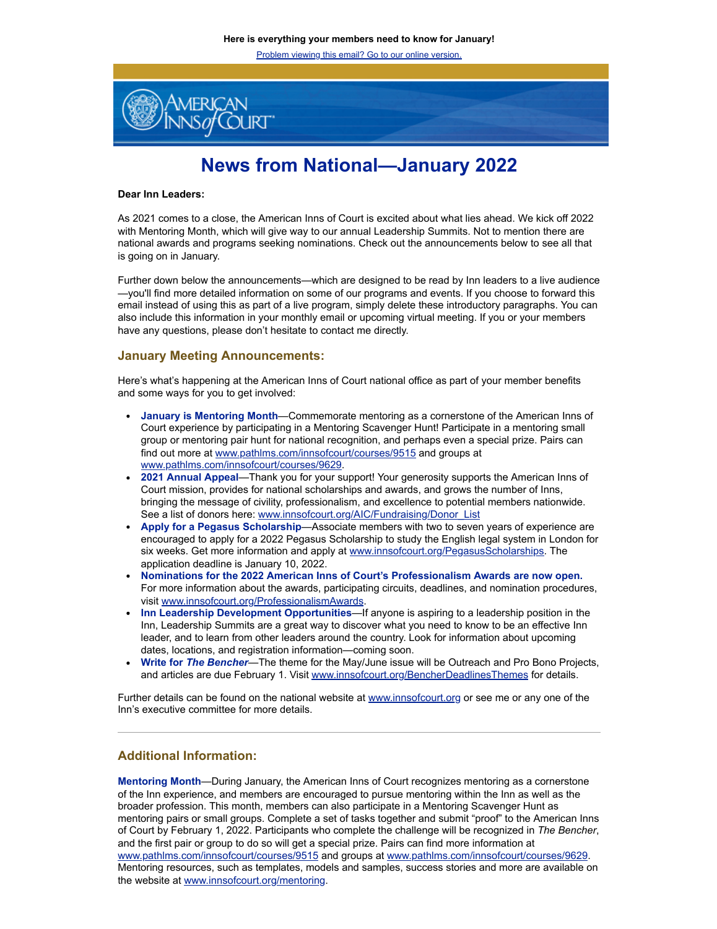Problem viewing this email? Go to our online version.



# **News from National—January 2022**

#### **Dear Inn Leaders:**

As 2021 comes to a close, the American Inns of Court is excited about what lies ahead. We kick off 2022 with Mentoring Month, which will give way to our annual Leadership Summits. Not to mention there are national awards and programs seeking nominations. Check out the announcements below to see all that is going on in January.

Further down below the announcements—which are designed to be read by Inn leaders to a live audience —you'll find more detailed information on some of our programs and events. If you choose to forward this email instead of using this as part of a live program, simply delete these introductory paragraphs. You can also include this information in your monthly email or upcoming virtual meeting. If you or your members have any questions, please don't hesitate to contact me directly.

#### **January Meeting Announcements:**

Here's what's happening at the American Inns of Court national office as part of your member benefits and some ways for you to get involved:

- **January is Mentoring Month**—Commemorate mentoring as a cornerstone of the American Inns of Court experience by participating in a Mentoring Scavenger Hunt! Participate in a mentoring small group or mentoring pair hunt for national recognition, and perhaps even a special prize. Pairs can find out more at [www.pathlms.com/innsofcourt/courses/9515](http://www.pathlms.com/innsofcourt/courses/9515) and groups at [www.pathlms.com/innsofcourt/courses/9629.](http://www.pathlms.com/innsofcourt/courses/9629)
- **2021 Annual Appeal**—Thank you for your support! Your generosity supports the American Inns of Court mission, provides for national scholarships and awards, and grows the number of Inns, bringing the message of civility, professionalism, and excellence to potential members nationwide. See a list of donors here: [www.innsofcourt.org/AIC/Fundraising/Donor\\_List](http://www.innsofcourt.org/AIC/Fundraising/Donor_List)
- **Apply for a Pegasus Scholarship**—Associate members with two to seven years of experience are encouraged to apply for a 2022 Pegasus Scholarship to study the English legal system in London for six weeks. Get more information and apply at [www.innsofcourt.org/PegasusScholarships.](http://www.innsofcourt.org/PegasusScholarships) The application deadline is January 10, 2022.
- **Nominations for the 2022 American Inns of Court's Professionalism Awards are now open.** For more information about the awards, participating circuits, deadlines, and nomination procedures, visit [www.innsofcourt.org/ProfessionalismAwards.](http://www.innsofcourt.org/ProfessionalismAwards)
- **Inn Leadership Development Opportunities**—If anyone is aspiring to a leadership position in the Inn, Leadership Summits are a great way to discover what you need to know to be an effective Inn leader, and to learn from other leaders around the country. Look for information about upcoming dates, locations, and registration information—coming soon.
- **Write for** *The Bencher*—The theme for the May/June issue will be Outreach and Pro Bono Projects, and articles are due February 1. Visit [www.innsofcourt.org/BencherDeadlinesThemes](http://www.innsofcourt.org/BencherDeadlinesThemes) for details.

Further details can be found on the national website at [www.innsofcourt.org](http://www.innsofcourt.org/) or see me or any one of the Inn's executive committee for more details.

### **Additional Information:**

**Mentoring Month**—During January, the American Inns of Court recognizes mentoring as a cornerstone of the Inn experience, and members are encouraged to pursue mentoring within the Inn as well as the broader profession. This month, members can also participate in a Mentoring Scavenger Hunt as mentoring pairs or small groups. Complete a set of tasks together and submit "proof" to the American Inns of Court by February 1, 2022. Participants who complete the challenge will be recognized in *The Bencher*, and the first pair or group to do so will get a special prize. Pairs can find more information at [www.pathlms.com/innsofcourt/courses/9515](http://www.pathlms.com/innsofcourt/courses/9515) and groups at [www.pathlms.com/innsofcourt/courses/9629.](http://www.pathlms.com/innsofcourt/courses/9629) Mentoring resources, such as templates, models and samples, success stories and more are available on the website at [www.innsofcourt.org/mentoring.](http://www.innsofcourt.org/mentoring)